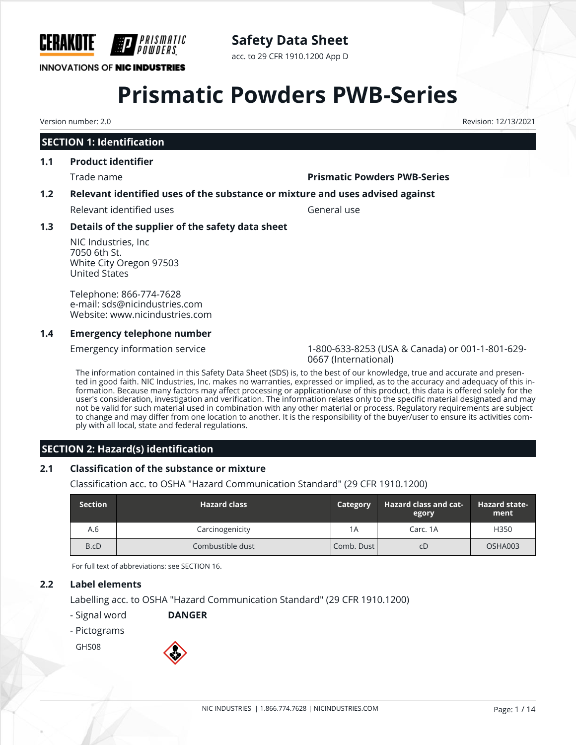

# **Safety Data Sheet**

acc. to 29 CFR 1910.1200 App D

# **Prismatic Powders PWB-Series**

Version number: 2.0 Revision: 12/13/2021

# **SECTION 1: Identification**

#### **1.1 Product identifier**

#### Trade name **Prismatic Powders PWB-Series**

## **1.2 Relevant identified uses of the substance or mixture and uses advised against**

Relevant identified uses General use

# **1.3 Details of the supplier of the safety data sheet**

NIC Industries, Inc 7050 6th St. White City Oregon 97503 United States

Telephone: 866-774-7628 e-mail: sds@nicindustries.com Website: www.nicindustries.com

#### **1.4 Emergency telephone number**

Emergency information service 1-800-633-8253 (USA & Canada) or 001-1-801-629- 0667 (International)

The information contained in this Safety Data Sheet (SDS) is, to the best of our knowledge, true and accurate and presented in good faith. NIC Industries, Inc. makes no warranties, expressed or implied, as to the accuracy and adequacy of this information. Because many factors may affect processing or application/use of this product, this data is offered solely for the user's consideration, investigation and verification. The information relates only to the specific material designated and may not be valid for such material used in combination with any other material or process. Regulatory requirements are subject to change and may differ from one location to another. It is the responsibility of the buyer/user to ensure its activities comply with all local, state and federal regulations.

# **SECTION 2: Hazard(s) identification**

## **2.1 Classification of the substance or mixture**

Classification acc. to OSHA "Hazard Communication Standard" (29 CFR 1910.1200)

| <b>Section</b> | <b>Hazard class</b> | <b>Category</b> | <b>Hazard class and cat-</b><br>egory | <b>Hazard state-</b><br>ment |
|----------------|---------------------|-----------------|---------------------------------------|------------------------------|
| A.6            | Carcinogenicity     | 1A              | Carc. 1A                              | H350                         |
| B.cD           | Combustible dust    | Comb. Dust      | СD                                    | OSHA003                      |

For full text of abbreviations: see SECTION 16.

## **2.2 Label elements**

Labelling acc. to OSHA "Hazard Communication Standard" (29 CFR 1910.1200)

- Signal word **DANGER**
- Pictograms

GHS08

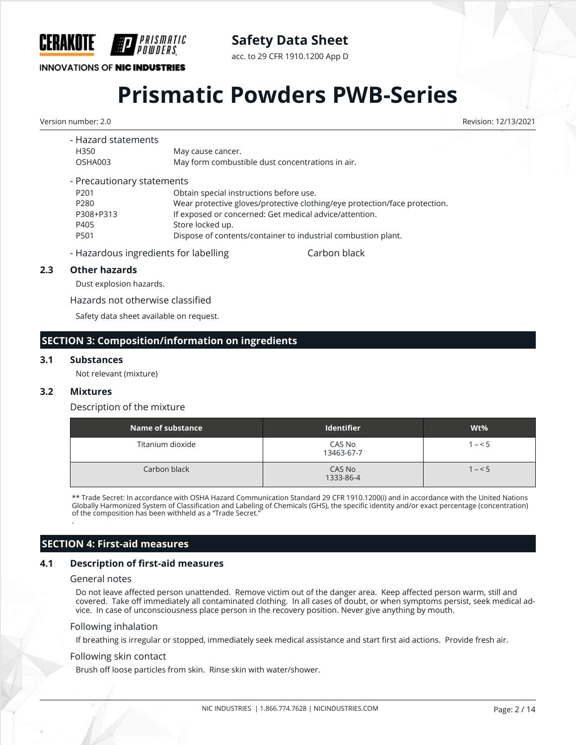

acc. to 29 CFR 1910.1200 App D

# **INNOVATIONS OF NIC INDUSTRIES**

# **Prismatic Powders PWB-Series**

Version number: 2.0 Revision: 12/13/2021

| - Hazard statements        |                                                                            |
|----------------------------|----------------------------------------------------------------------------|
| H350                       | May cause cancer.                                                          |
| OSHA003                    | May form combustible dust concentrations in air.                           |
| - Precautionary statements |                                                                            |
| P <sub>201</sub>           | Obtain special instructions before use.                                    |
| P280                       | Wear protective gloves/protective clothing/eye protection/face protection. |
| P308+P313                  | If exposed or concerned: Get medical advice/attention.                     |
| P405                       | Store locked up.                                                           |
| P501                       | Dispose of contents/container to industrial combustion plant.              |
|                            |                                                                            |

- Hazardous ingredients for labelling entity carbon black

#### **2.3 Other hazards**

Dust explosion hazards.

Hazards not otherwise classified

Safety data sheet available on request.

### **SECTION 3: Composition/information on ingredients**

#### **3.1 Substances**

Not relevant (mixture)

#### **3.2 Mixtures**

.

#### Description of the mixture

| Name of substance | Identifier           | $Wt\%$  |
|-------------------|----------------------|---------|
| Titanium dioxide  | CAS No<br>13463-67-7 | $1 - 5$ |
| Carbon black      | CAS No<br>1333-86-4  | $1 - 5$ |

\*\* Trade Secret: In accordance with OSHA Hazard Communication Standard 29 CFR 1910.1200(i) and in accordance with the United Nations Globally Harmonized System of Classification and Labeling of Chemicals (GHS), the specific identity and/or exact percentage (concentration) of the composition has been withheld as a "Trade Secret."

## **SECTION 4: First-aid measures**

#### **4.1 Description of first-aid measures**

#### General notes

Do not leave affected person unattended. Remove victim out of the danger area. Keep affected person warm, still and covered. Take off immediately all contaminated clothing. In all cases of doubt, or when symptoms persist, seek medical advice. In case of unconsciousness place person in the recovery position. Never give anything by mouth.

#### Following inhalation

If breathing is irregular or stopped, immediately seek medical assistance and start first aid actions. Provide fresh air.

#### Following skin contact

Brush off loose particles from skin. Rinse skin with water/shower.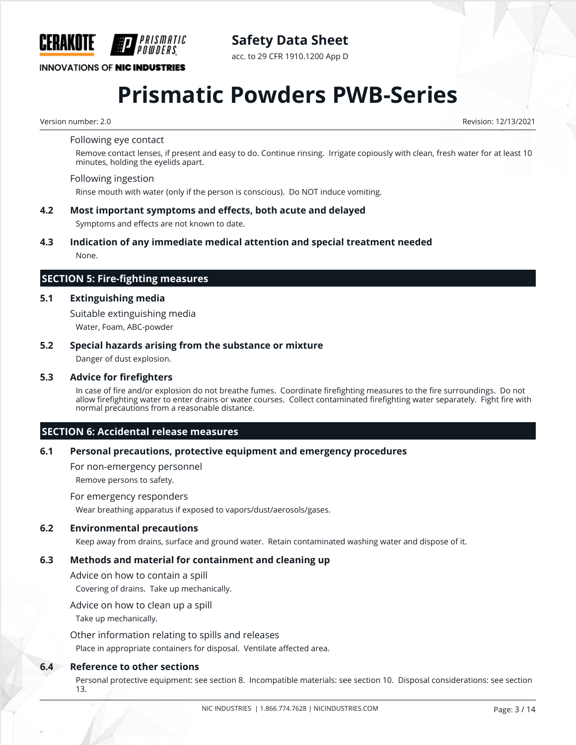

**Safety Data Sheet**

acc. to 29 CFR 1910.1200 App D

# **Prismatic Powders PWB-Series**

Version number: 2.0 Revision: 12/13/2021

#### Following eye contact

Remove contact lenses, if present and easy to do. Continue rinsing. Irrigate copiously with clean, fresh water for at least 10 minutes, holding the eyelids apart.

#### Following ingestion

Rinse mouth with water (only if the person is conscious). Do NOT induce vomiting.

**4.2 Most important symptoms and effects, both acute and delayed**

Symptoms and effects are not known to date.

#### **4.3 Indication of any immediate medical attention and special treatment needed** None.

#### **SECTION 5: Fire-fighting measures**

#### **5.1 Extinguishing media**

Suitable extinguishing media

Water, Foam, ABC-powder

#### **5.2 Special hazards arising from the substance or mixture**

Danger of dust explosion.

#### **5.3 Advice for firefighters**

In case of fire and/or explosion do not breathe fumes. Coordinate firefighting measures to the fire surroundings. Do not allow firefighting water to enter drains or water courses. Collect contaminated firefighting water separately. Fight fire with normal precautions from a reasonable distance.

## **SECTION 6: Accidental release measures**

#### **6.1 Personal precautions, protective equipment and emergency procedures**

For non-emergency personnel

Remove persons to safety.

#### For emergency responders

Wear breathing apparatus if exposed to vapors/dust/aerosols/gases.

#### **6.2 Environmental precautions**

Keep away from drains, surface and ground water. Retain contaminated washing water and dispose of it.

#### **6.3 Methods and material for containment and cleaning up**

Advice on how to contain a spill

Covering of drains. Take up mechanically.

Advice on how to clean up a spill

Take up mechanically.

Other information relating to spills and releases

Place in appropriate containers for disposal. Ventilate affected area.

#### **6.4 Reference to other sections**

Personal protective equipment: see section 8. Incompatible materials: see section 10. Disposal considerations: see section 13.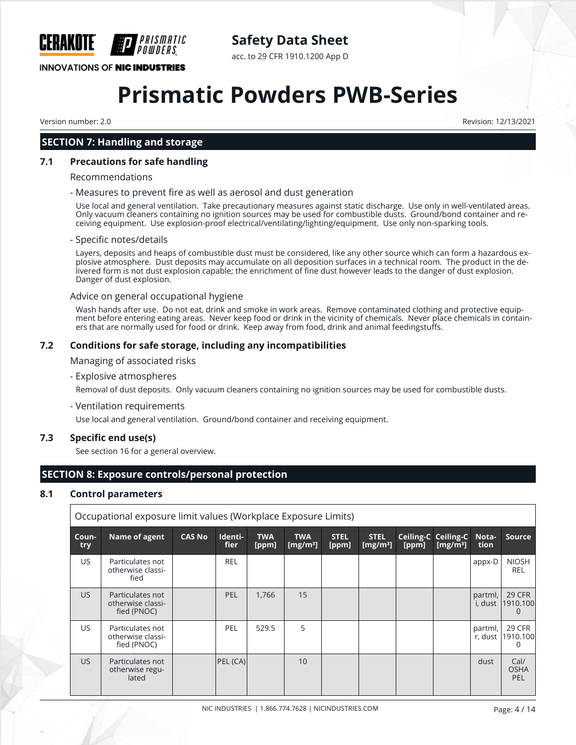

acc. to 29 CFR 1910.1200 App D

# **INNOVATIONS OF NIC INDUSTRIES**

# **Prismatic Powders PWB-Series**

Version number: 2.0 Revision: 12/13/2021

# **SECTION 7: Handling and storage**

#### **7.1 Precautions for safe handling**

#### Recommendations

#### - Measures to prevent fire as well as aerosol and dust generation

Use local and general ventilation. Take precautionary measures against static discharge. Use only in well-ventilated areas. Only vacuum cleaners containing no ignition sources may be used for combustible dusts. Ground/bond container and receiving equipment. Use explosion-proof electrical/ventilating/lighting/equipment. Use only non-sparking tools.

#### - Specific notes/details

Layers, deposits and heaps of combustible dust must be considered, like any other source which can form a hazardous explosive atmosphere. Dust deposits may accumulate on all deposition surfaces in a technical room. The product in the delivered form is not dust explosion capable; the enrichment of fine dust however leads to the danger of dust explosion. Danger of dust explosion.

#### Advice on general occupational hygiene

Wash hands after use. Do not eat, drink and smoke in work areas. Remove contaminated clothing and protective equipment before entering eating areas. Never keep food or drink in the vicinity of chemicals. Never place chemicals in containers that are normally used for food or drink. Keep away from food, drink and animal feedingstuffs.

#### **7.2 Conditions for safe storage, including any incompatibilities**

Managing of associated risks

#### - Explosive atmospheres

Removal of dust deposits. Only vacuum cleaners containing no ignition sources may be used for combustible dusts.

- Ventilation requirements

Use local and general ventilation. Ground/bond container and receiving equipment.

#### **7.3 Specific end use(s)**

See section 16 for a general overview.

# **SECTION 8: Exposure controls/personal protection**

## **8.1 Control parameters**

| Occupational exposure limit values (Workplace Exposure Limits) |              |                                                      |               |                 |                     |                           |                      |                            |       |                                           |                    |                            |
|----------------------------------------------------------------|--------------|------------------------------------------------------|---------------|-----------------|---------------------|---------------------------|----------------------|----------------------------|-------|-------------------------------------------|--------------------|----------------------------|
|                                                                | Coun-<br>try | Name of agent                                        | <b>CAS No</b> | Identi-<br>fier | <b>TWA</b><br>[ppm] | <b>TWA</b><br>[ $mg/m3$ ] | <b>STEL</b><br>[ppm] | <b>STEL</b><br>[ $mg/m3$ ] | [ppm] | <b>Ceiling-C Ceiling-C</b><br>[ $mg/m3$ ] | Nota-<br>tion      | <b>Source</b>              |
|                                                                | US.          | Particulates not<br>otherwise classi-<br>fied        |               | <b>REL</b>      |                     |                           |                      |                            |       |                                           | appx-D             | <b>NIOSH</b><br><b>REL</b> |
|                                                                | <b>US</b>    | Particulates not<br>otherwise classi-<br>fied (PNOC) |               | <b>PEL</b>      | 1.766               | 15                        |                      |                            |       |                                           | partml,<br>i, dust | 29 CFR<br>1910.100         |
|                                                                | US.          | Particulates not<br>otherwise classi-<br>fied (PNOC) |               | PEL             | 529.5               | 5                         |                      |                            |       |                                           | partml,<br>r, dust | 29 CFR<br>1910.100<br>0    |
|                                                                | <b>US</b>    | Particulates not<br>otherwise regu-<br>lated         |               | PEL (CA)        |                     | 10                        |                      |                            |       |                                           | dust               | Cal/<br><b>OSHA</b><br>PEL |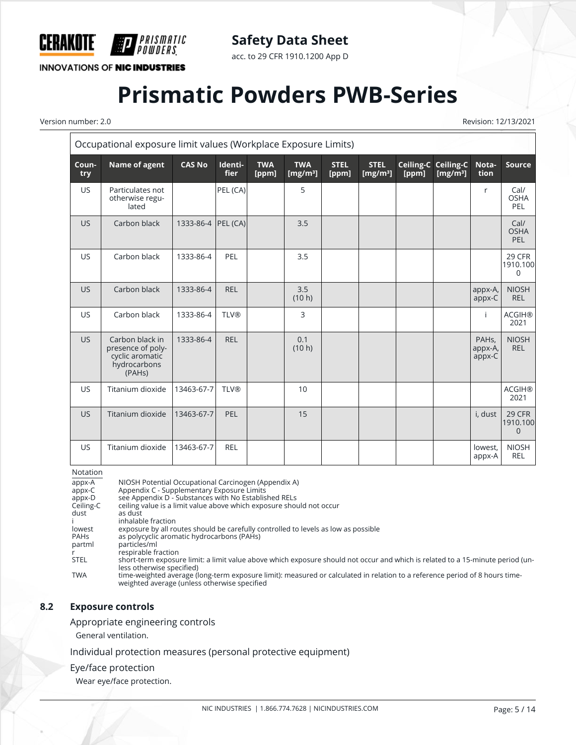

acc. to 29 CFR 1910.1200 App D

**INNOVATIONS OF NIC INDUSTRIES** 

*PRISMATIC<br>Powders* 

# **Prismatic Powders PWB-Series**

 $\overline{\mathsf{r}}$ 

Version number: 2.0 Revision: 12/13/2021

| Occupational exposure limit values (Workplace Exposure Limits) |                                                                                                |                    |                        |                     |                           |                      |                            |                    |                          |                                         |                            |
|----------------------------------------------------------------|------------------------------------------------------------------------------------------------|--------------------|------------------------|---------------------|---------------------------|----------------------|----------------------------|--------------------|--------------------------|-----------------------------------------|----------------------------|
| Coun-<br>try                                                   | Name of agent                                                                                  | <b>CAS No</b>      | Identi-<br><b>fier</b> | <b>TWA</b><br>[ppm] | <b>TWA</b><br>[ $mg/m3$ ] | <b>STEL</b><br>[ppm] | <b>STEL</b><br>[ $mg/m3$ ] | Ceiling-C<br>[ppm] | Ceiling-C<br>[ $mg/m3$ ] | Nota-<br>tion                           | <b>Source</b>              |
| <b>US</b>                                                      | Particulates not<br>otherwise regu-<br>lated                                                   |                    | PEL (CA)               |                     | 5                         |                      |                            |                    |                          | r                                       | Cal/<br><b>OSHA</b><br>PEL |
| <b>US</b>                                                      | Carbon black                                                                                   | 1333-86-4 PEL (CA) |                        |                     | 3.5                       |                      |                            |                    |                          |                                         | Cal/<br><b>OSHA</b><br>PEL |
| US                                                             | Carbon black                                                                                   | 1333-86-4          | PEL                    |                     | 3.5                       |                      |                            |                    |                          |                                         | 29 CFR<br>1910.100<br>0    |
| <b>US</b>                                                      | Carbon black                                                                                   | 1333-86-4          | <b>REL</b>             |                     | 3.5<br>(10 h)             |                      |                            |                    |                          | appx-A,<br>appx-C                       | <b>NIOSH</b><br><b>REL</b> |
| US.                                                            | Carbon black                                                                                   | 1333-86-4          | <b>TLV®</b>            |                     | 3                         |                      |                            |                    |                          | ÷                                       | <b>ACGIH®</b><br>2021      |
| US.                                                            | Carbon black in<br>presence of poly-<br>cyclic aromatic<br>hydrocarbons<br>(PAH <sub>s</sub> ) | 1333-86-4          | <b>REL</b>             |                     | 0.1<br>(10 h)             |                      |                            |                    |                          | PAH <sub>s</sub> .<br>appx-A,<br>appx-C | <b>NIOSH</b><br><b>REL</b> |
| <b>US</b>                                                      | Titanium dioxide                                                                               | 13463-67-7         | <b>TLV®</b>            |                     | 10                        |                      |                            |                    |                          |                                         | <b>ACGIH®</b><br>2021      |
| <b>US</b>                                                      | Titanium dioxide                                                                               | 13463-67-7         | PEL                    |                     | 15                        |                      |                            |                    |                          | i, dust                                 | 29 CFR<br>1910.100<br>0    |
| <b>US</b>                                                      | Titanium dioxide                                                                               | 13463-67-7         | <b>REL</b>             |                     |                           |                      |                            |                    |                          | lowest,<br>appx-A                       | <b>NIOSH</b><br><b>REL</b> |

#### Notation

| appx-A      | NIOSH Potential Occupational Carcinogen (Appendix A)                                                                                                                        |
|-------------|-----------------------------------------------------------------------------------------------------------------------------------------------------------------------------|
| appx-C      | Appendix C - Supplementary Exposure Limits                                                                                                                                  |
| appx-D      | see Appendix D - Substances with No Established RELs                                                                                                                        |
| Ceiling-C   | ceiling value is a limit value above which exposure should not occur                                                                                                        |
| dust        | as dust                                                                                                                                                                     |
|             | inhalable fraction                                                                                                                                                          |
| lowest      | exposure by all routes should be carefully controlled to levels as low as possible                                                                                          |
| <b>PAHs</b> | as polycyclic aromatic hydrocarbons (PAHs)                                                                                                                                  |
| partml      | particles/ml                                                                                                                                                                |
|             | respirable fraction                                                                                                                                                         |
| <b>STEL</b> | short-term exposure limit; a limit value above which exposure should not occur and which is related to a 15-minute period (un-                                              |
|             | less otherwise specified)                                                                                                                                                   |
| <b>TWA</b>  | time-weighted average (long-term exposure limit): measured or calculated in relation to a reference period of 8 hours time-<br>weighted average (unless otherwise specified |

### **8.2 Exposure controls**

#### Appropriate engineering controls

General ventilation.

Individual protection measures (personal protective equipment)

#### Eye/face protection

Wear eye/face protection.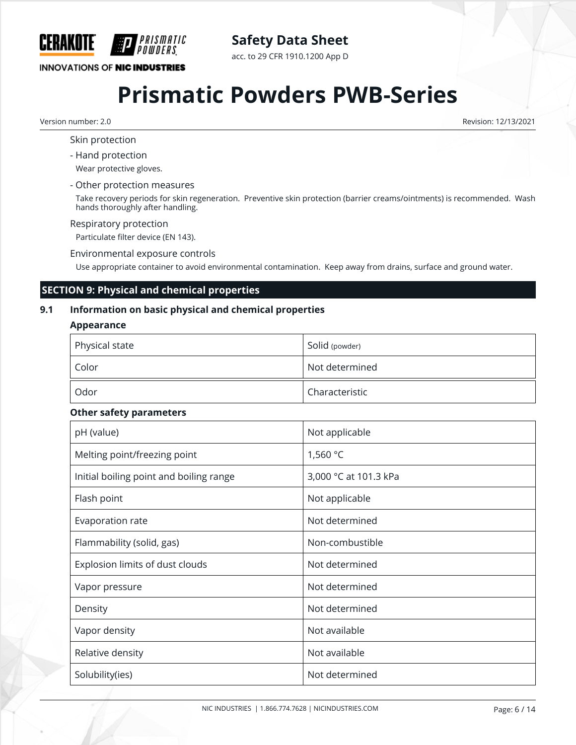

acc. to 29 CFR 1910.1200 App D

# **INNOVATIONS OF NIC INDUSTRIES**

# **Prismatic Powders PWB-Series**

Version number: 2.0 Revision: 12/13/2021

Skin protection

- Hand protection

Wear protective gloves.

- Other protection measures

Take recovery periods for skin regeneration. Preventive skin protection (barrier creams/ointments) is recommended. Wash hands thoroughly after handling.

#### Respiratory protection

Particulate filter device (EN 143).

Environmental exposure controls

Use appropriate container to avoid environmental contamination. Keep away from drains, surface and ground water.

# **SECTION 9: Physical and chemical properties**

# **9.1 Information on basic physical and chemical properties**

#### **Appearance**

| Physical state | Solid (powder) |
|----------------|----------------|
| Color          | Not determined |
| Odor           | Characteristic |

#### **Other safety parameters**

| pH (value)                              | Not applicable        |
|-----------------------------------------|-----------------------|
| Melting point/freezing point            | 1,560 °C              |
| Initial boiling point and boiling range | 3,000 °C at 101.3 kPa |
| Flash point                             | Not applicable        |
| Evaporation rate                        | Not determined        |
| Flammability (solid, gas)               | Non-combustible       |
| Explosion limits of dust clouds         | Not determined        |
| Vapor pressure                          | Not determined        |
| Density                                 | Not determined        |
| Vapor density                           | Not available         |
| Relative density                        | Not available         |
| Solubility(ies)                         | Not determined        |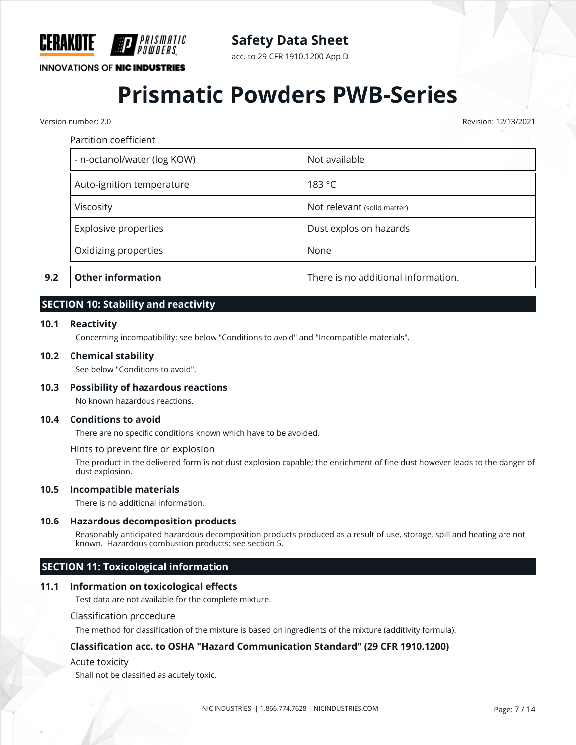

acc. to 29 CFR 1910.1200 App D

# **INNOVATIONS OF NIC INDUSTRIES**

# **Prismatic Powders PWB-Series**

Version number: 2.0 Revision: 12/13/2021

|     | Partition coefficient       |                                     |
|-----|-----------------------------|-------------------------------------|
|     | - n-octanol/water (log KOW) | Not available                       |
|     | Auto-ignition temperature   | 183 °C                              |
|     | Viscosity                   | Not relevant (solid matter)         |
|     | <b>Explosive properties</b> | Dust explosion hazards              |
|     | Oxidizing properties        | None                                |
| 9.2 | <b>Other information</b>    | There is no additional information. |

# **SECTION 10: Stability and reactivity**

#### **10.1 Reactivity**

Concerning incompatibility: see below "Conditions to avoid" and "Incompatible materials".

#### **10.2 Chemical stability**

See below "Conditions to avoid".

#### **10.3 Possibility of hazardous reactions**

No known hazardous reactions.

#### **10.4 Conditions to avoid**

There are no specific conditions known which have to be avoided.

#### Hints to prevent fire or explosion

The product in the delivered form is not dust explosion capable; the enrichment of fine dust however leads to the danger of dust explosion.

#### **10.5 Incompatible materials**

There is no additional information.

#### **10.6 Hazardous decomposition products**

Reasonably anticipated hazardous decomposition products produced as a result of use, storage, spill and heating are not known. Hazardous combustion products: see section 5.

## **SECTION 11: Toxicological information**

#### **11.1 Information on toxicological effects**

Test data are not available for the complete mixture.

#### Classification procedure

The method for classification of the mixture is based on ingredients of the mixture (additivity formula).

#### **Classification acc. to OSHA "Hazard Communication Standard" (29 CFR 1910.1200)**

#### Acute toxicity

Shall not be classified as acutely toxic.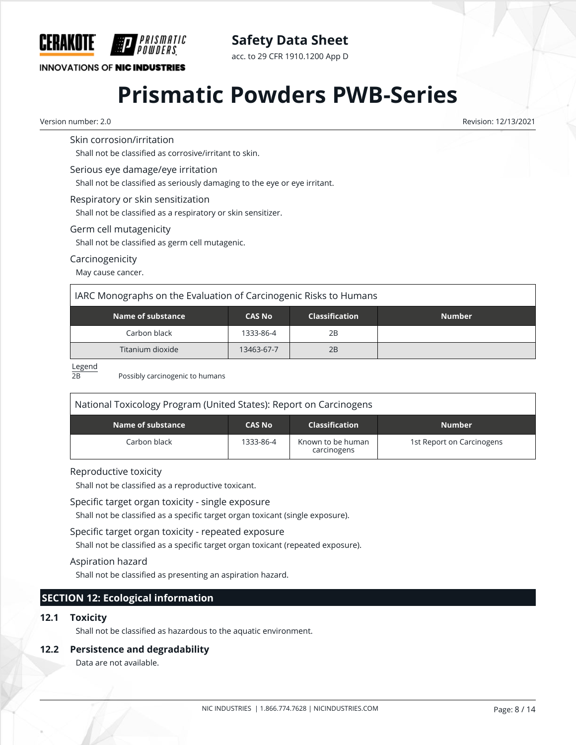

acc. to 29 CFR 1910.1200 App D

# **INNOVATIONS OF NIC INDUSTRIES**

# **Prismatic Powders PWB-Series**

Version number: 2.0 Revision: 12/13/2021

# Skin corrosion/irritation

Shall not be classified as corrosive/irritant to skin.

#### Serious eye damage/eye irritation

Shall not be classified as seriously damaging to the eye or eye irritant.

#### Respiratory or skin sensitization

Shall not be classified as a respiratory or skin sensitizer.

#### Germ cell mutagenicity

Shall not be classified as germ cell mutagenic.

## Carcinogenicity

May cause cancer.

# IARC Monographs on the Evaluation of Carcinogenic Risks to Humans

| Name of substance <b>\</b> | <b>CAS No</b> | <b>Classification</b> | <b>Number</b> |
|----------------------------|---------------|-----------------------|---------------|
| Carbon black               | 1333-86-4     | 2B                    |               |
| Titanium dioxide           | 13463-67-7    | 2B                    |               |

#### Legend

2B Possibly carcinogenic to humans

| National Toxicology Program (United States): Report on Carcinogens |               |                                  |                           |  |  |  |  |
|--------------------------------------------------------------------|---------------|----------------------------------|---------------------------|--|--|--|--|
| Name of substance                                                  | <b>CAS No</b> | <b>Classification</b>            | <b>Number</b>             |  |  |  |  |
| Carbon black                                                       | 1333-86-4     | Known to be human<br>carcinogens | 1st Report on Carcinogens |  |  |  |  |

## Reproductive toxicity

Shall not be classified as a reproductive toxicant.

#### Specific target organ toxicity - single exposure

Shall not be classified as a specific target organ toxicant (single exposure).

## Specific target organ toxicity - repeated exposure

Shall not be classified as a specific target organ toxicant (repeated exposure).

## Aspiration hazard

Shall not be classified as presenting an aspiration hazard.

# **SECTION 12: Ecological information**

## **12.1 Toxicity**

Shall not be classified as hazardous to the aquatic environment.

## **12.2 Persistence and degradability**

Data are not available.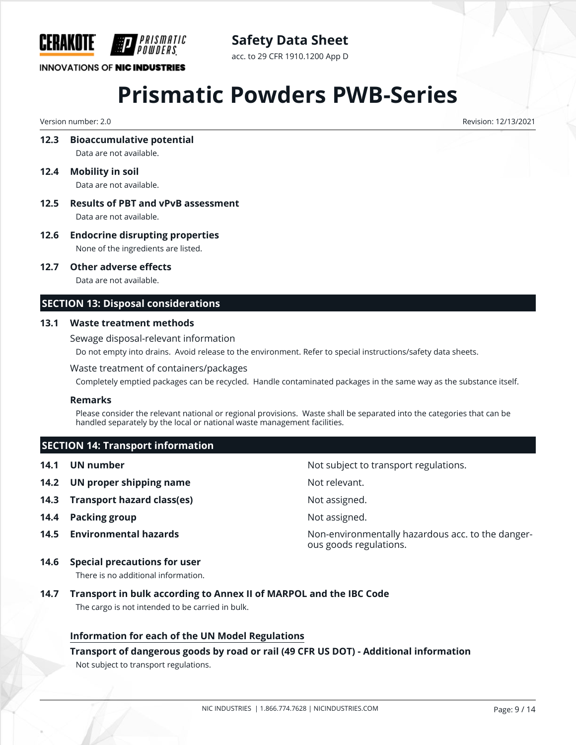

acc. to 29 CFR 1910.1200 App D

# **INNOVATIONS OF NIC INDUSTRIES**

# **Prismatic Powders PWB-Series**

Version number: 2.0 Revision: 12/13/2021

**12.3 Bioaccumulative potential**

Data are not available.

- **12.4 Mobility in soil** Data are not available.
- **12.5 Results of PBT and vPvB assessment** Data are not available.
- **12.6 Endocrine disrupting properties**

None of the ingredients are listed.

**12.7 Other adverse effects**

Data are not available.

# **SECTION 13: Disposal considerations**

## **13.1 Waste treatment methods**

Sewage disposal-relevant information Do not empty into drains. Avoid release to the environment. Refer to special instructions/safety data sheets.

## Waste treatment of containers/packages

Completely emptied packages can be recycled. Handle contaminated packages in the same way as the substance itself.

## **Remarks**

Please consider the relevant national or regional provisions. Waste shall be separated into the categories that can be handled separately by the local or national waste management facilities.

ous goods regulations.

# **SECTION 14: Transport information**

- **14.1 UN number 14.1 UN** number
- **14.2 UN proper shipping name** Not relevant.
- **14.3 Transport hazard class(es)** Not assigned.
- **14.4 Packing group Not assigned. Not assigned.**
- **14.5 Environmental hazards Non-environmentally hazardous acc. to the danger-**
- **14.6 Special precautions for user**

There is no additional information.

**14.7 Transport in bulk according to Annex II of MARPOL and the IBC Code** The cargo is not intended to be carried in bulk.

# **Information for each of the UN Model Regulations**

## **Transport of dangerous goods by road or rail (49 CFR US DOT) - Additional information**

Not subject to transport regulations.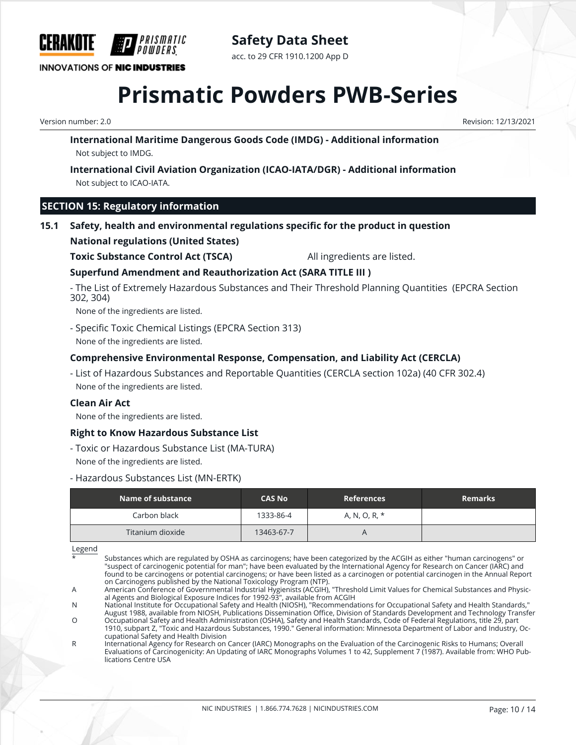

# **Safety Data Sheet** acc. to 29 CFR 1910.1200 App D

# **Prismatic Powders PWB-Series**

Version number: 2.0 Revision: 12/13/2021

**International Maritime Dangerous Goods Code (IMDG) - Additional information** Not subject to IMDG.

**International Civil Aviation Organization (ICAO-IATA/DGR) - Additional information** Not subject to ICAO-IATA.

# **SECTION 15: Regulatory information**

**15.1 Safety, health and environmental regulations specific for the product in question**

## **National regulations (United States)**

**Toxic Substance Control Act (TSCA)** All ingredients are listed.

# **Superfund Amendment and Reauthorization Act (SARA TITLE III )**

- The List of Extremely Hazardous Substances and Their Threshold Planning Quantities (EPCRA Section 302, 304)

None of the ingredients are listed.

- Specific Toxic Chemical Listings (EPCRA Section 313) None of the ingredients are listed.

## **Comprehensive Environmental Response, Compensation, and Liability Act (CERCLA)**

- List of Hazardous Substances and Reportable Quantities (CERCLA section 102a) (40 CFR 302.4) None of the ingredients are listed.

#### **Clean Air Act**

None of the ingredients are listed.

## **Right to Know Hazardous Substance List**

- Toxic or Hazardous Substance List (MA-TURA) None of the ingredients are listed.

#### - Hazardous Substances List (MN-ERTK)

| Name of substance | <b>CAS No</b> | <b>References</b> | <b>Remarks</b> |
|-------------------|---------------|-------------------|----------------|
| Carbon black      | 1333-86-4     | A, N, O, R, *     |                |
| Titanium dioxide  | 13463-67-7    |                   |                |

Legend

Substances which are regulated by OSHA as carcinogens; have been categorized by the ACGIH as either "human carcinogens" or "suspect of carcinogenic potential for man"; have been evaluated by the International Agency for Research on Cancer (IARC) and found to be carcinogens or potential carcinogens; or have been listed as a carcinogen or potential carcinogen in the Annual Report on Carcinogens published by the National Toxicology Program (NTP).

A American Conference of Governmental Industrial Hygienists (ACGIH), "Threshold Limit Values for Chemical Substances and Physical Agents and Biological Exposure Indices for 1992-93", available from ACGIH

N National Institute for Occupational Safety and Health (NIOSH), "Recommendations for Occupational Safety and Health Standards," August 1988, available from NIOSH, Publications Dissemination Office, Division of Standards Development and Technology Transfer O Occupational Safety and Health Administration (OSHA), Safety and Health Standards, Code of Federal Regulations, title 29, part

1910, subpart Z, "Toxic and Hazardous Substances, 1990." General information: Minnesota Department of Labor and Industry, Occupational Safety and Health Division R International Agency for Research on Cancer (IARC) Monographs on the Evaluation of the Carcinogenic Risks to Humans; Overall

Evaluations of Carcinogenicity: An Updating of IARC Monographs Volumes 1 to 42, Supplement 7 (1987). Available from: WHO Publications Centre USA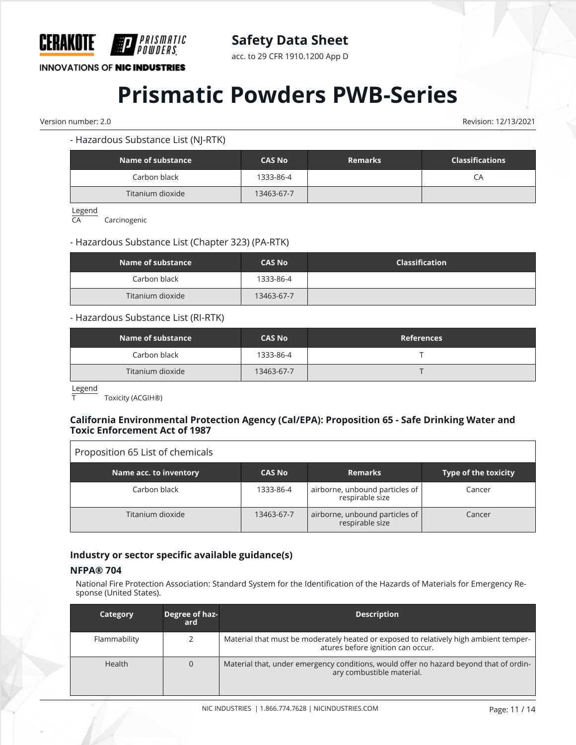

acc. to 29 CFR 1910.1200 App D

**INNOVATIONS OF NIC INDUSTRIES** 

# **Prismatic Powders PWB-Series**

Version number: 2.0 Revision: 12/13/2021

- Hazardous Substance List (NJ-RTK)

| Name of substance | <b>CAS No</b> | <b>Remarks</b> | <b>Classifications</b> |
|-------------------|---------------|----------------|------------------------|
| Carbon black      | 1333-86-4     |                | СA                     |
| Titanium dioxide  | 13463-67-7    |                |                        |

Legend

CA Carcinogenic

# - Hazardous Substance List (Chapter 323) (PA-RTK)

| Name of substance | <b>CAS No</b> | <b>Classification</b> |
|-------------------|---------------|-----------------------|
| Carbon black      | 1333-86-4     |                       |
| Titanium dioxide  | 13463-67-7    |                       |

#### - Hazardous Substance List (RI-RTK)

| Name of substance | <b>CAS No</b> | <b>References</b> |
|-------------------|---------------|-------------------|
| Carbon black      | 1333-86-4     |                   |
| Titanium dioxide  | 13463-67-7    |                   |

Legend

Toxicity (ACGIH®)

#### **California Environmental Protection Agency (Cal/EPA): Proposition 65 - Safe Drinking Water and Toxic Enforcement Act of 1987**

| Proposition 65 List of chemicals |               |                                                   |                             |
|----------------------------------|---------------|---------------------------------------------------|-----------------------------|
| Name acc. to inventory           | <b>CAS No</b> | <b>Remarks</b>                                    | <b>Type of the toxicity</b> |
| Carbon black                     | 1333-86-4     | airborne, unbound particles of<br>respirable size | Cancer                      |
| Titanium dioxide                 | 13463-67-7    | airborne, unbound particles of<br>respirable size | Cancer                      |

## **Industry or sector specific available guidance(s)**

#### **NFPA® 704**

National Fire Protection Association: Standard System for the Identification of the Hazards of Materials for Emergency Response (United States).

| Category      | Degree of haz-<br>ard | <b>Description</b>                                                                                                         |
|---------------|-----------------------|----------------------------------------------------------------------------------------------------------------------------|
| Flammability  |                       | Material that must be moderately heated or exposed to relatively high ambient temper-<br>atures before ignition can occur. |
| <b>Health</b> | $\Omega$              | Material that, under emergency conditions, would offer no hazard beyond that of ordin-<br>ary combustible material.        |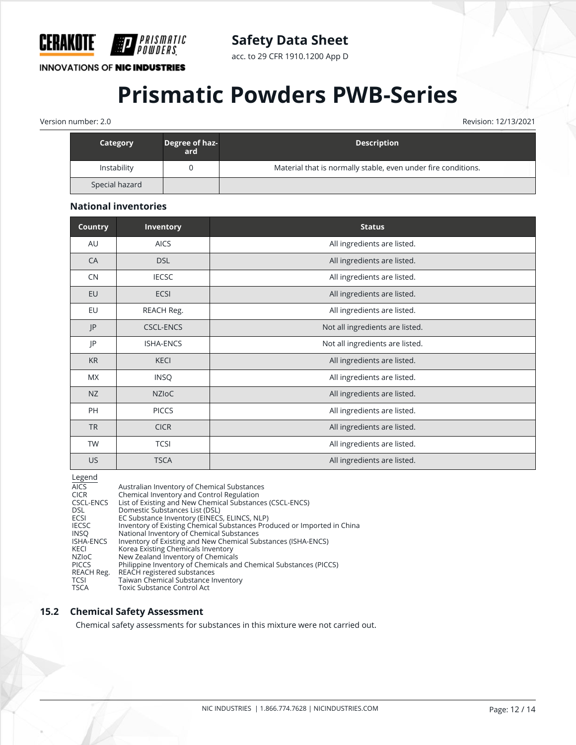

acc. to 29 CFR 1910.1200 App D

**INNOVATIONS OF NIC INDUSTRIES** 

# **Prismatic Powders PWB-Series**

Version number: 2.0 Revision: 12/13/2021

| Category       | Degree of haz-<br>ard | <b>Description</b>                                            |
|----------------|-----------------------|---------------------------------------------------------------|
| Instability    |                       | Material that is normally stable, even under fire conditions. |
| Special hazard |                       |                                                               |

## **National inventories**

| <b>Country</b> | <b>Inventory</b> | <b>Status</b>                   |
|----------------|------------------|---------------------------------|
| AU             | <b>AICS</b>      | All ingredients are listed.     |
| CA             | <b>DSL</b>       | All ingredients are listed.     |
| CN             | <b>IECSC</b>     | All ingredients are listed.     |
| EU             | <b>ECSI</b>      | All ingredients are listed.     |
| EU             | REACH Reg.       | All ingredients are listed.     |
| P              | <b>CSCL-ENCS</b> | Not all ingredients are listed. |
| JP             | <b>ISHA-ENCS</b> | Not all ingredients are listed. |
| <b>KR</b>      | <b>KECI</b>      | All ingredients are listed.     |
| <b>MX</b>      | <b>INSQ</b>      | All ingredients are listed.     |
| NZ             | <b>NZIOC</b>     | All ingredients are listed.     |
| PH             | <b>PICCS</b>     | All ingredients are listed.     |
| <b>TR</b>      | <b>CICR</b>      | All ingredients are listed.     |
| TW             | <b>TCSI</b>      | All ingredients are listed.     |
| <b>US</b>      | <b>TSCA</b>      | All ingredients are listed.     |

| L |  |
|---|--|
|   |  |

| --o-··-      |                                                                         |
|--------------|-------------------------------------------------------------------------|
| <b>AICS</b>  | Australian Inventory of Chemical Substances                             |
| <b>CICR</b>  | Chemical Inventory and Control Regulation                               |
| CSCL-ENCS    | List of Existing and New Chemical Substances (CSCL-ENCS)                |
| <b>DSL</b>   | Domestic Substances List (DSL)                                          |
| ECSI         | EC Substance Inventory (EINECS, ELINCS, NLP)                            |
| <b>IECSC</b> | Inventory of Existing Chemical Substances Produced or Imported in China |
| <b>INSO</b>  | National Inventory of Chemical Substances                               |
| ISHA-ENCS    | Inventory of Existing and New Chemical Substances (ISHA-ENCS)           |
| KECI         | Korea Existing Chemicals Inventory                                      |
| <b>NZIOC</b> | New Zealand Inventory of Chemicals                                      |
| <b>PICCS</b> | Philippine Inventory of Chemicals and Chemical Substances (PICCS)       |
| REACH Reg.   | REACH registered substances                                             |
| TCSI         | Taiwan Chemical Substance Inventory                                     |
| <b>TSCA</b>  | Toxic Substance Control Act                                             |
|              |                                                                         |

## **15.2 Chemical Safety Assessment**

Chemical safety assessments for substances in this mixture were not carried out.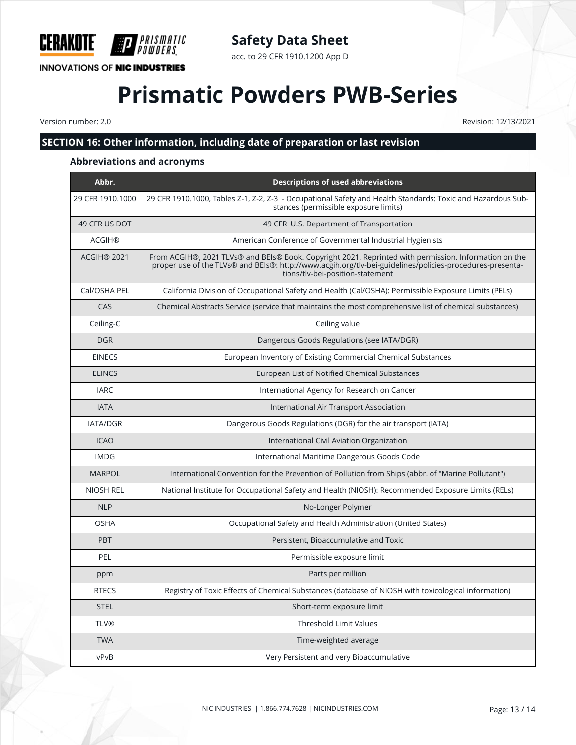

# **Safety Data Sheet**

acc. to 29 CFR 1910.1200 App D

# **Prismatic Powders PWB-Series**

Version number: 2.0 Revision: 12/13/2021

# **SECTION 16: Other information, including date of preparation or last revision**

# **Abbreviations and acronyms**

| Abbr.            | <b>Descriptions of used abbreviations</b>                                                                                                                                                                                                             |
|------------------|-------------------------------------------------------------------------------------------------------------------------------------------------------------------------------------------------------------------------------------------------------|
| 29 CFR 1910.1000 | 29 CFR 1910.1000, Tables Z-1, Z-2, Z-3 - Occupational Safety and Health Standards: Toxic and Hazardous Sub-<br>stances (permissible exposure limits)                                                                                                  |
| 49 CFR US DOT    | 49 CFR U.S. Department of Transportation                                                                                                                                                                                                              |
| <b>ACGIH®</b>    | American Conference of Governmental Industrial Hygienists                                                                                                                                                                                             |
| ACGIH® 2021      | From ACGIH®, 2021 TLVs® and BEIs® Book. Copyright 2021. Reprinted with permission. Information on the<br>proper use of the TLVs® and BEIs®: http://www.acgih.org/tlv-bei-guidelines/policies-procedures-presenta-<br>tions/tlv-bei-position-statement |
| Cal/OSHA PEL     | California Division of Occupational Safety and Health (Cal/OSHA): Permissible Exposure Limits (PELs)                                                                                                                                                  |
| CAS              | Chemical Abstracts Service (service that maintains the most comprehensive list of chemical substances)                                                                                                                                                |
| Ceiling-C        | Ceiling value                                                                                                                                                                                                                                         |
| <b>DGR</b>       | Dangerous Goods Regulations (see IATA/DGR)                                                                                                                                                                                                            |
| <b>EINECS</b>    | European Inventory of Existing Commercial Chemical Substances                                                                                                                                                                                         |
| <b>ELINCS</b>    | European List of Notified Chemical Substances                                                                                                                                                                                                         |
| <b>IARC</b>      | International Agency for Research on Cancer                                                                                                                                                                                                           |
| <b>IATA</b>      | International Air Transport Association                                                                                                                                                                                                               |
| <b>IATA/DGR</b>  | Dangerous Goods Regulations (DGR) for the air transport (IATA)                                                                                                                                                                                        |
| <b>ICAO</b>      | International Civil Aviation Organization                                                                                                                                                                                                             |
| <b>IMDG</b>      | International Maritime Dangerous Goods Code                                                                                                                                                                                                           |
| <b>MARPOL</b>    | International Convention for the Prevention of Pollution from Ships (abbr. of "Marine Pollutant")                                                                                                                                                     |
| <b>NIOSH REL</b> | National Institute for Occupational Safety and Health (NIOSH): Recommended Exposure Limits (RELs)                                                                                                                                                     |
| <b>NLP</b>       | No-Longer Polymer                                                                                                                                                                                                                                     |
| <b>OSHA</b>      | Occupational Safety and Health Administration (United States)                                                                                                                                                                                         |
| <b>PBT</b>       | Persistent, Bioaccumulative and Toxic                                                                                                                                                                                                                 |
| PEL              | Permissible exposure limit                                                                                                                                                                                                                            |
| ppm              | Parts per million                                                                                                                                                                                                                                     |
| <b>RTECS</b>     | Registry of Toxic Effects of Chemical Substances (database of NIOSH with toxicological information)                                                                                                                                                   |
| <b>STEL</b>      | Short-term exposure limit                                                                                                                                                                                                                             |
| <b>TLV®</b>      | <b>Threshold Limit Values</b>                                                                                                                                                                                                                         |
| <b>TWA</b>       | Time-weighted average                                                                                                                                                                                                                                 |
| vPvB             | Very Persistent and very Bioaccumulative                                                                                                                                                                                                              |